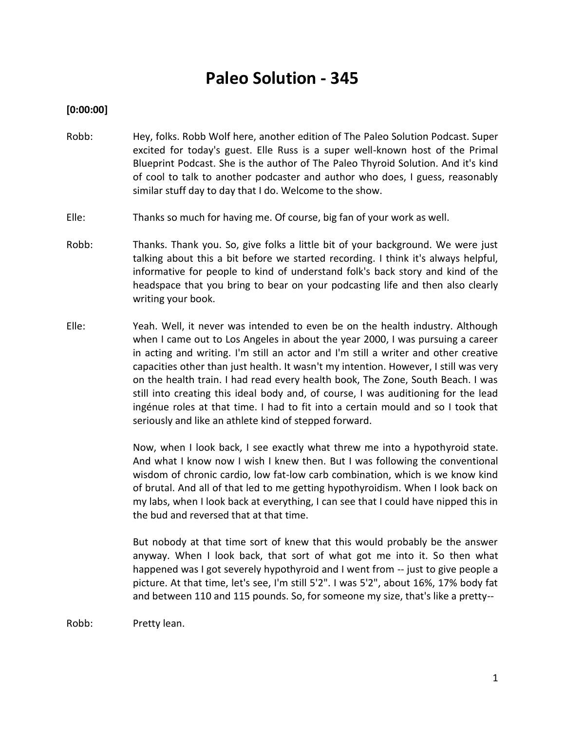# **Paleo Solution - 345**

# **[0:00:00]**

- Robb: Hey, folks. Robb Wolf here, another edition of The Paleo Solution Podcast. Super excited for today's guest. Elle Russ is a super well-known host of the Primal Blueprint Podcast. She is the author of The Paleo Thyroid Solution. And it's kind of cool to talk to another podcaster and author who does, I guess, reasonably similar stuff day to day that I do. Welcome to the show.
- Elle: Thanks so much for having me. Of course, big fan of your work as well.
- Robb: Thanks. Thank you. So, give folks a little bit of your background. We were just talking about this a bit before we started recording. I think it's always helpful, informative for people to kind of understand folk's back story and kind of the headspace that you bring to bear on your podcasting life and then also clearly writing your book.
- Elle: Yeah. Well, it never was intended to even be on the health industry. Although when I came out to Los Angeles in about the year 2000, I was pursuing a career in acting and writing. I'm still an actor and I'm still a writer and other creative capacities other than just health. It wasn't my intention. However, I still was very on the health train. I had read every health book, The Zone, South Beach. I was still into creating this ideal body and, of course, I was auditioning for the lead ingénue roles at that time. I had to fit into a certain mould and so I took that seriously and like an athlete kind of stepped forward.

Now, when I look back, I see exactly what threw me into a hypothyroid state. And what I know now I wish I knew then. But I was following the conventional wisdom of chronic cardio, low fat-low carb combination, which is we know kind of brutal. And all of that led to me getting hypothyroidism. When I look back on my labs, when I look back at everything, I can see that I could have nipped this in the bud and reversed that at that time.

But nobody at that time sort of knew that this would probably be the answer anyway. When I look back, that sort of what got me into it. So then what happened was I got severely hypothyroid and I went from -- just to give people a picture. At that time, let's see, I'm still 5'2". I was 5'2", about 16%, 17% body fat and between 110 and 115 pounds. So, for someone my size, that's like a pretty--

Robb: Pretty lean.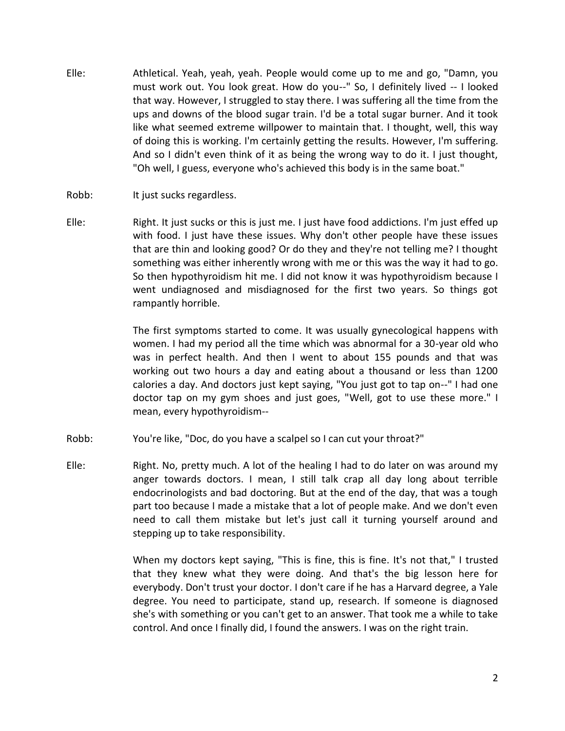- Elle: Athletical. Yeah, yeah, yeah. People would come up to me and go, "Damn, you must work out. You look great. How do you--" So, I definitely lived -- I looked that way. However, I struggled to stay there. I was suffering all the time from the ups and downs of the blood sugar train. I'd be a total sugar burner. And it took like what seemed extreme willpower to maintain that. I thought, well, this way of doing this is working. I'm certainly getting the results. However, I'm suffering. And so I didn't even think of it as being the wrong way to do it. I just thought, "Oh well, I guess, everyone who's achieved this body is in the same boat."
- Robb: It just sucks regardless.
- Elle: Right. It just sucks or this is just me. I just have food addictions. I'm just effed up with food. I just have these issues. Why don't other people have these issues that are thin and looking good? Or do they and they're not telling me? I thought something was either inherently wrong with me or this was the way it had to go. So then hypothyroidism hit me. I did not know it was hypothyroidism because I went undiagnosed and misdiagnosed for the first two years. So things got rampantly horrible.

The first symptoms started to come. It was usually gynecological happens with women. I had my period all the time which was abnormal for a 30-year old who was in perfect health. And then I went to about 155 pounds and that was working out two hours a day and eating about a thousand or less than 1200 calories a day. And doctors just kept saying, "You just got to tap on--" I had one doctor tap on my gym shoes and just goes, "Well, got to use these more." I mean, every hypothyroidism--

- Robb: You're like, "Doc, do you have a scalpel so I can cut your throat?"
- Elle: Right. No, pretty much. A lot of the healing I had to do later on was around my anger towards doctors. I mean, I still talk crap all day long about terrible endocrinologists and bad doctoring. But at the end of the day, that was a tough part too because I made a mistake that a lot of people make. And we don't even need to call them mistake but let's just call it turning yourself around and stepping up to take responsibility.

When my doctors kept saying, "This is fine, this is fine. It's not that," I trusted that they knew what they were doing. And that's the big lesson here for everybody. Don't trust your doctor. I don't care if he has a Harvard degree, a Yale degree. You need to participate, stand up, research. If someone is diagnosed she's with something or you can't get to an answer. That took me a while to take control. And once I finally did, I found the answers. I was on the right train.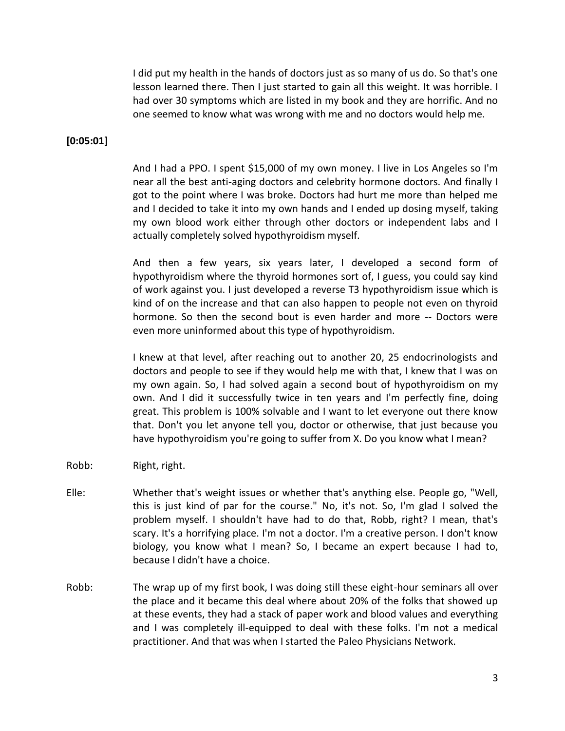I did put my health in the hands of doctors just as so many of us do. So that's one lesson learned there. Then I just started to gain all this weight. It was horrible. I had over 30 symptoms which are listed in my book and they are horrific. And no one seemed to know what was wrong with me and no doctors would help me.

## **[0:05:01]**

And I had a PPO. I spent \$15,000 of my own money. I live in Los Angeles so I'm near all the best anti-aging doctors and celebrity hormone doctors. And finally I got to the point where I was broke. Doctors had hurt me more than helped me and I decided to take it into my own hands and I ended up dosing myself, taking my own blood work either through other doctors or independent labs and I actually completely solved hypothyroidism myself.

And then a few years, six years later, I developed a second form of hypothyroidism where the thyroid hormones sort of, I guess, you could say kind of work against you. I just developed a reverse T3 hypothyroidism issue which is kind of on the increase and that can also happen to people not even on thyroid hormone. So then the second bout is even harder and more -- Doctors were even more uninformed about this type of hypothyroidism.

I knew at that level, after reaching out to another 20, 25 endocrinologists and doctors and people to see if they would help me with that, I knew that I was on my own again. So, I had solved again a second bout of hypothyroidism on my own. And I did it successfully twice in ten years and I'm perfectly fine, doing great. This problem is 100% solvable and I want to let everyone out there know that. Don't you let anyone tell you, doctor or otherwise, that just because you have hypothyroidism you're going to suffer from X. Do you know what I mean?

- Robb: Right, right.
- Elle: Whether that's weight issues or whether that's anything else. People go, "Well, this is just kind of par for the course." No, it's not. So, I'm glad I solved the problem myself. I shouldn't have had to do that, Robb, right? I mean, that's scary. It's a horrifying place. I'm not a doctor. I'm a creative person. I don't know biology, you know what I mean? So, I became an expert because I had to, because I didn't have a choice.
- Robb: The wrap up of my first book, I was doing still these eight-hour seminars all over the place and it became this deal where about 20% of the folks that showed up at these events, they had a stack of paper work and blood values and everything and I was completely ill-equipped to deal with these folks. I'm not a medical practitioner. And that was when I started the Paleo Physicians Network.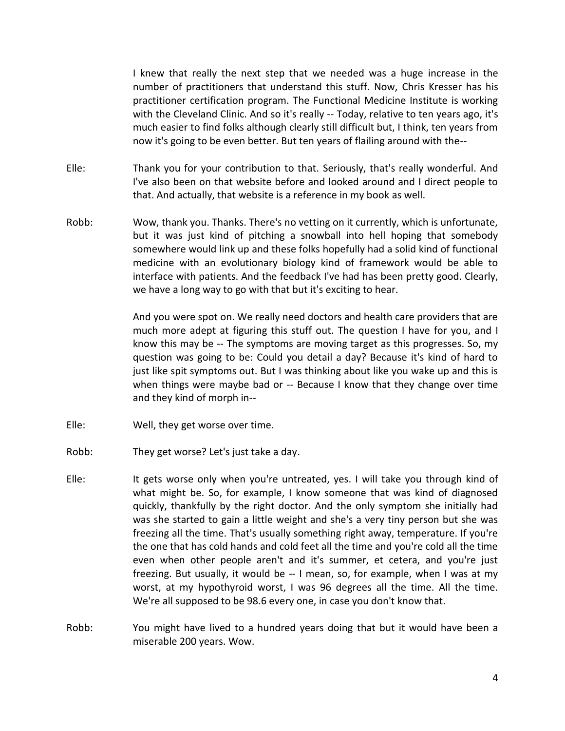I knew that really the next step that we needed was a huge increase in the number of practitioners that understand this stuff. Now, Chris Kresser has his practitioner certification program. The Functional Medicine Institute is working with the Cleveland Clinic. And so it's really -- Today, relative to ten years ago, it's much easier to find folks although clearly still difficult but, I think, ten years from now it's going to be even better. But ten years of flailing around with the--

- Elle: Thank you for your contribution to that. Seriously, that's really wonderful. And I've also been on that website before and looked around and I direct people to that. And actually, that website is a reference in my book as well.
- Robb: Wow, thank you. Thanks. There's no vetting on it currently, which is unfortunate, but it was just kind of pitching a snowball into hell hoping that somebody somewhere would link up and these folks hopefully had a solid kind of functional medicine with an evolutionary biology kind of framework would be able to interface with patients. And the feedback I've had has been pretty good. Clearly, we have a long way to go with that but it's exciting to hear.

And you were spot on. We really need doctors and health care providers that are much more adept at figuring this stuff out. The question I have for you, and I know this may be -- The symptoms are moving target as this progresses. So, my question was going to be: Could you detail a day? Because it's kind of hard to just like spit symptoms out. But I was thinking about like you wake up and this is when things were maybe bad or -- Because I know that they change over time and they kind of morph in--

- Elle: Well, they get worse over time.
- Robb: They get worse? Let's just take a day.
- Elle: It gets worse only when you're untreated, yes. I will take you through kind of what might be. So, for example, I know someone that was kind of diagnosed quickly, thankfully by the right doctor. And the only symptom she initially had was she started to gain a little weight and she's a very tiny person but she was freezing all the time. That's usually something right away, temperature. If you're the one that has cold hands and cold feet all the time and you're cold all the time even when other people aren't and it's summer, et cetera, and you're just freezing. But usually, it would be -- I mean, so, for example, when I was at my worst, at my hypothyroid worst, I was 96 degrees all the time. All the time. We're all supposed to be 98.6 every one, in case you don't know that.
- Robb: You might have lived to a hundred years doing that but it would have been a miserable 200 years. Wow.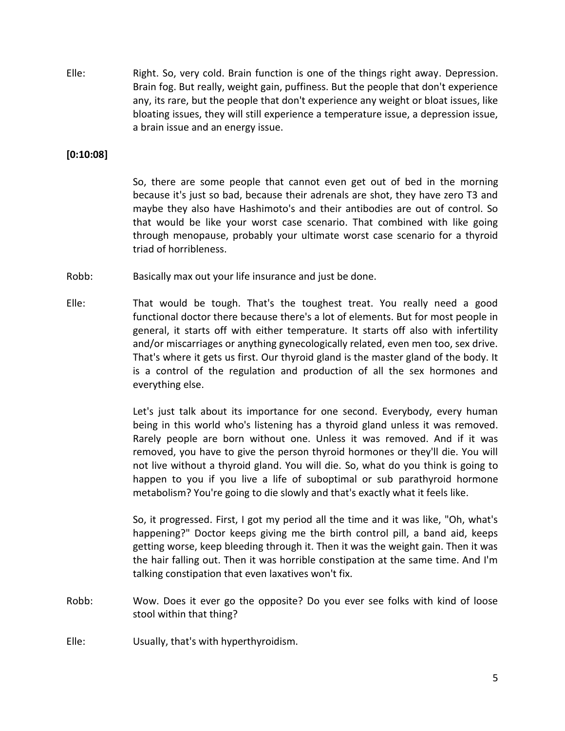Elle: Right. So, very cold. Brain function is one of the things right away. Depression. Brain fog. But really, weight gain, puffiness. But the people that don't experience any, its rare, but the people that don't experience any weight or bloat issues, like bloating issues, they will still experience a temperature issue, a depression issue, a brain issue and an energy issue.

## **[0:10:08]**

So, there are some people that cannot even get out of bed in the morning because it's just so bad, because their adrenals are shot, they have zero T3 and maybe they also have Hashimoto's and their antibodies are out of control. So that would be like your worst case scenario. That combined with like going through menopause, probably your ultimate worst case scenario for a thyroid triad of horribleness.

- Robb: Basically max out your life insurance and just be done.
- Elle: That would be tough. That's the toughest treat. You really need a good functional doctor there because there's a lot of elements. But for most people in general, it starts off with either temperature. It starts off also with infertility and/or miscarriages or anything gynecologically related, even men too, sex drive. That's where it gets us first. Our thyroid gland is the master gland of the body. It is a control of the regulation and production of all the sex hormones and everything else.

Let's just talk about its importance for one second. Everybody, every human being in this world who's listening has a thyroid gland unless it was removed. Rarely people are born without one. Unless it was removed. And if it was removed, you have to give the person thyroid hormones or they'll die. You will not live without a thyroid gland. You will die. So, what do you think is going to happen to you if you live a life of suboptimal or sub parathyroid hormone metabolism? You're going to die slowly and that's exactly what it feels like.

So, it progressed. First, I got my period all the time and it was like, "Oh, what's happening?" Doctor keeps giving me the birth control pill, a band aid, keeps getting worse, keep bleeding through it. Then it was the weight gain. Then it was the hair falling out. Then it was horrible constipation at the same time. And I'm talking constipation that even laxatives won't fix.

- Robb: Wow. Does it ever go the opposite? Do you ever see folks with kind of loose stool within that thing?
- Elle: Usually, that's with hyperthyroidism.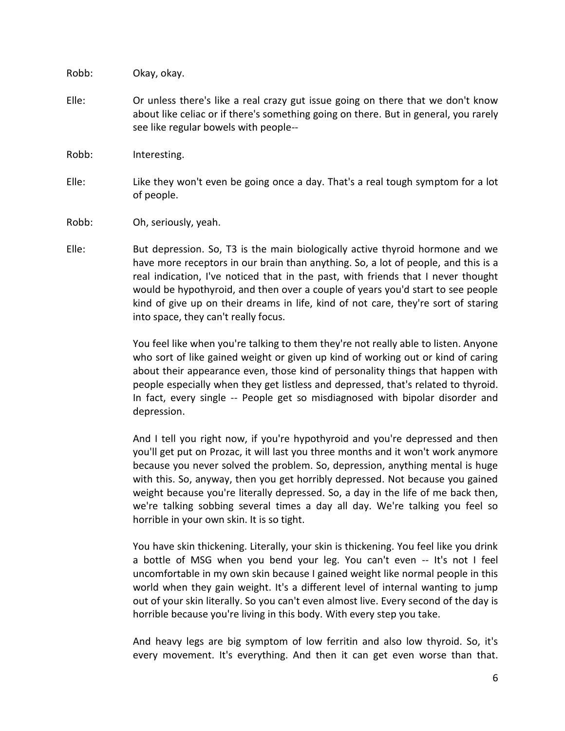Robb: Okay, okay.

- Elle: Or unless there's like a real crazy gut issue going on there that we don't know about like celiac or if there's something going on there. But in general, you rarely see like regular bowels with people--
- Robb: Interesting.
- Elle: Like they won't even be going once a day. That's a real tough symptom for a lot of people.
- Robb: Oh, seriously, yeah.
- Elle: But depression. So, T3 is the main biologically active thyroid hormone and we have more receptors in our brain than anything. So, a lot of people, and this is a real indication, I've noticed that in the past, with friends that I never thought would be hypothyroid, and then over a couple of years you'd start to see people kind of give up on their dreams in life, kind of not care, they're sort of staring into space, they can't really focus.

You feel like when you're talking to them they're not really able to listen. Anyone who sort of like gained weight or given up kind of working out or kind of caring about their appearance even, those kind of personality things that happen with people especially when they get listless and depressed, that's related to thyroid. In fact, every single -- People get so misdiagnosed with bipolar disorder and depression.

And I tell you right now, if you're hypothyroid and you're depressed and then you'll get put on Prozac, it will last you three months and it won't work anymore because you never solved the problem. So, depression, anything mental is huge with this. So, anyway, then you get horribly depressed. Not because you gained weight because you're literally depressed. So, a day in the life of me back then, we're talking sobbing several times a day all day. We're talking you feel so horrible in your own skin. It is so tight.

You have skin thickening. Literally, your skin is thickening. You feel like you drink a bottle of MSG when you bend your leg. You can't even -- It's not I feel uncomfortable in my own skin because I gained weight like normal people in this world when they gain weight. It's a different level of internal wanting to jump out of your skin literally. So you can't even almost live. Every second of the day is horrible because you're living in this body. With every step you take.

And heavy legs are big symptom of low ferritin and also low thyroid. So, it's every movement. It's everything. And then it can get even worse than that.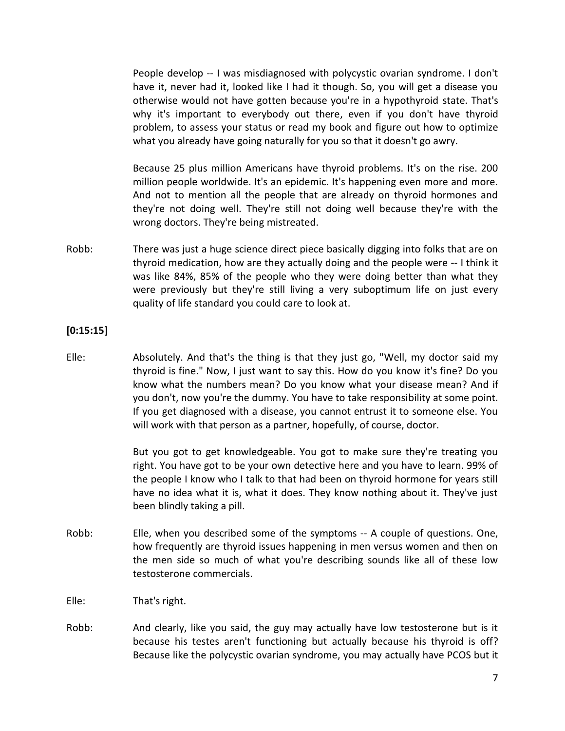People develop -- I was misdiagnosed with polycystic ovarian syndrome. I don't have it, never had it, looked like I had it though. So, you will get a disease you otherwise would not have gotten because you're in a hypothyroid state. That's why it's important to everybody out there, even if you don't have thyroid problem, to assess your status or read my book and figure out how to optimize what you already have going naturally for you so that it doesn't go awry.

Because 25 plus million Americans have thyroid problems. It's on the rise. 200 million people worldwide. It's an epidemic. It's happening even more and more. And not to mention all the people that are already on thyroid hormones and they're not doing well. They're still not doing well because they're with the wrong doctors. They're being mistreated.

Robb: There was just a huge science direct piece basically digging into folks that are on thyroid medication, how are they actually doing and the people were -- I think it was like 84%, 85% of the people who they were doing better than what they were previously but they're still living a very suboptimum life on just every quality of life standard you could care to look at.

## **[0:15:15]**

Elle: Absolutely. And that's the thing is that they just go, "Well, my doctor said my thyroid is fine." Now, I just want to say this. How do you know it's fine? Do you know what the numbers mean? Do you know what your disease mean? And if you don't, now you're the dummy. You have to take responsibility at some point. If you get diagnosed with a disease, you cannot entrust it to someone else. You will work with that person as a partner, hopefully, of course, doctor.

> But you got to get knowledgeable. You got to make sure they're treating you right. You have got to be your own detective here and you have to learn. 99% of the people I know who I talk to that had been on thyroid hormone for years still have no idea what it is, what it does. They know nothing about it. They've just been blindly taking a pill.

- Robb: Elle, when you described some of the symptoms -- A couple of questions. One, how frequently are thyroid issues happening in men versus women and then on the men side so much of what you're describing sounds like all of these low testosterone commercials.
- Elle: That's right.
- Robb: And clearly, like you said, the guy may actually have low testosterone but is it because his testes aren't functioning but actually because his thyroid is off? Because like the polycystic ovarian syndrome, you may actually have PCOS but it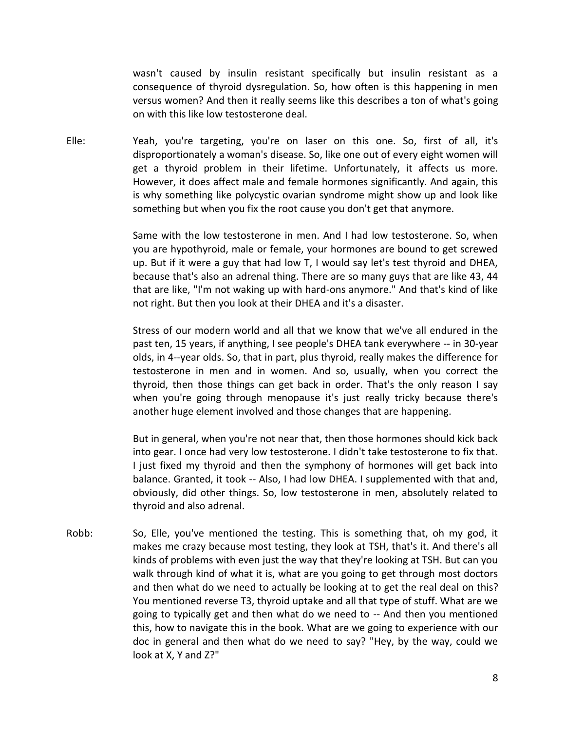wasn't caused by insulin resistant specifically but insulin resistant as a consequence of thyroid dysregulation. So, how often is this happening in men versus women? And then it really seems like this describes a ton of what's going on with this like low testosterone deal.

Elle: Yeah, you're targeting, you're on laser on this one. So, first of all, it's disproportionately a woman's disease. So, like one out of every eight women will get a thyroid problem in their lifetime. Unfortunately, it affects us more. However, it does affect male and female hormones significantly. And again, this is why something like polycystic ovarian syndrome might show up and look like something but when you fix the root cause you don't get that anymore.

> Same with the low testosterone in men. And I had low testosterone. So, when you are hypothyroid, male or female, your hormones are bound to get screwed up. But if it were a guy that had low T, I would say let's test thyroid and DHEA, because that's also an adrenal thing. There are so many guys that are like 43, 44 that are like, "I'm not waking up with hard-ons anymore." And that's kind of like not right. But then you look at their DHEA and it's a disaster.

> Stress of our modern world and all that we know that we've all endured in the past ten, 15 years, if anything, I see people's DHEA tank everywhere -- in 30-year olds, in 4--year olds. So, that in part, plus thyroid, really makes the difference for testosterone in men and in women. And so, usually, when you correct the thyroid, then those things can get back in order. That's the only reason I say when you're going through menopause it's just really tricky because there's another huge element involved and those changes that are happening.

> But in general, when you're not near that, then those hormones should kick back into gear. I once had very low testosterone. I didn't take testosterone to fix that. I just fixed my thyroid and then the symphony of hormones will get back into balance. Granted, it took -- Also, I had low DHEA. I supplemented with that and, obviously, did other things. So, low testosterone in men, absolutely related to thyroid and also adrenal.

Robb: So, Elle, you've mentioned the testing. This is something that, oh my god, it makes me crazy because most testing, they look at TSH, that's it. And there's all kinds of problems with even just the way that they're looking at TSH. But can you walk through kind of what it is, what are you going to get through most doctors and then what do we need to actually be looking at to get the real deal on this? You mentioned reverse T3, thyroid uptake and all that type of stuff. What are we going to typically get and then what do we need to -- And then you mentioned this, how to navigate this in the book. What are we going to experience with our doc in general and then what do we need to say? "Hey, by the way, could we look at X, Y and Z?"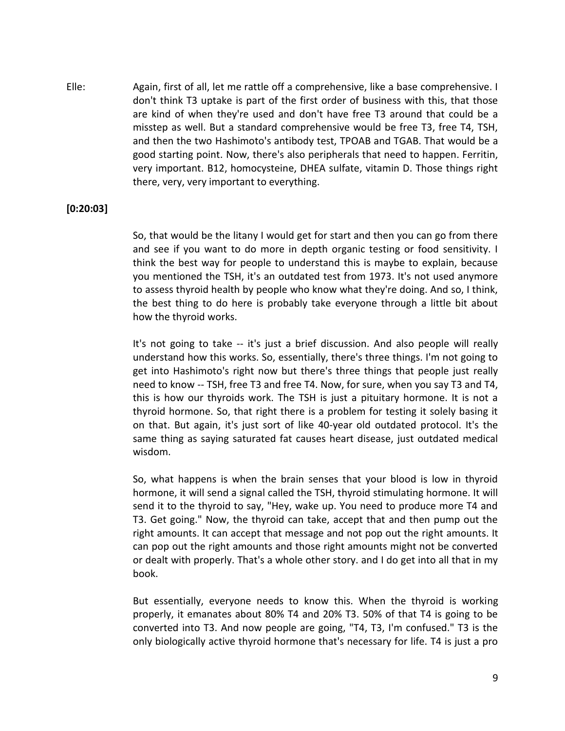Elle: Again, first of all, let me rattle off a comprehensive, like a base comprehensive. I don't think T3 uptake is part of the first order of business with this, that those are kind of when they're used and don't have free T3 around that could be a misstep as well. But a standard comprehensive would be free T3, free T4, TSH, and then the two Hashimoto's antibody test, TPOAB and TGAB. That would be a good starting point. Now, there's also peripherals that need to happen. Ferritin, very important. B12, homocysteine, DHEA sulfate, vitamin D. Those things right there, very, very important to everything.

# **[0:20:03]**

So, that would be the litany I would get for start and then you can go from there and see if you want to do more in depth organic testing or food sensitivity. I think the best way for people to understand this is maybe to explain, because you mentioned the TSH, it's an outdated test from 1973. It's not used anymore to assess thyroid health by people who know what they're doing. And so, I think, the best thing to do here is probably take everyone through a little bit about how the thyroid works.

It's not going to take -- it's just a brief discussion. And also people will really understand how this works. So, essentially, there's three things. I'm not going to get into Hashimoto's right now but there's three things that people just really need to know -- TSH, free T3 and free T4. Now, for sure, when you say T3 and T4, this is how our thyroids work. The TSH is just a pituitary hormone. It is not a thyroid hormone. So, that right there is a problem for testing it solely basing it on that. But again, it's just sort of like 40-year old outdated protocol. It's the same thing as saying saturated fat causes heart disease, just outdated medical wisdom.

So, what happens is when the brain senses that your blood is low in thyroid hormone, it will send a signal called the TSH, thyroid stimulating hormone. It will send it to the thyroid to say, "Hey, wake up. You need to produce more T4 and T3. Get going." Now, the thyroid can take, accept that and then pump out the right amounts. It can accept that message and not pop out the right amounts. It can pop out the right amounts and those right amounts might not be converted or dealt with properly. That's a whole other story. and I do get into all that in my book.

But essentially, everyone needs to know this. When the thyroid is working properly, it emanates about 80% T4 and 20% T3. 50% of that T4 is going to be converted into T3. And now people are going, "T4, T3, I'm confused." T3 is the only biologically active thyroid hormone that's necessary for life. T4 is just a pro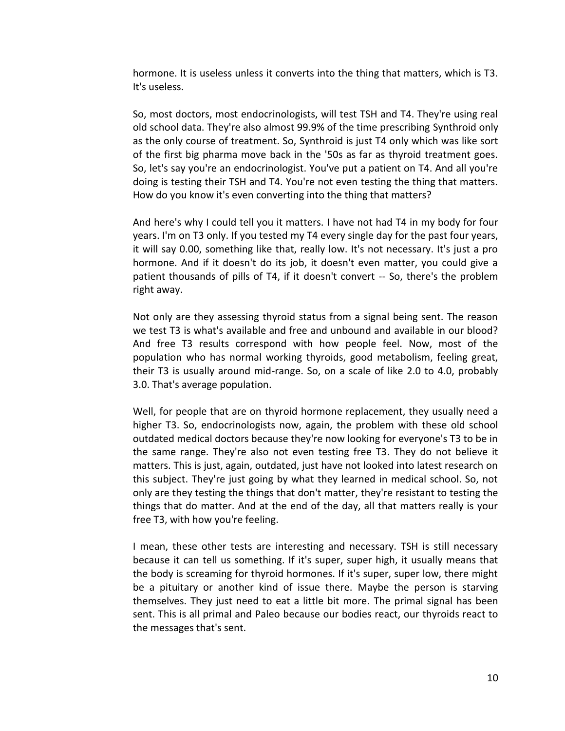hormone. It is useless unless it converts into the thing that matters, which is T3. It's useless.

So, most doctors, most endocrinologists, will test TSH and T4. They're using real old school data. They're also almost 99.9% of the time prescribing Synthroid only as the only course of treatment. So, Synthroid is just T4 only which was like sort of the first big pharma move back in the '50s as far as thyroid treatment goes. So, let's say you're an endocrinologist. You've put a patient on T4. And all you're doing is testing their TSH and T4. You're not even testing the thing that matters. How do you know it's even converting into the thing that matters?

And here's why I could tell you it matters. I have not had T4 in my body for four years. I'm on T3 only. If you tested my T4 every single day for the past four years, it will say 0.00, something like that, really low. It's not necessary. It's just a pro hormone. And if it doesn't do its job, it doesn't even matter, you could give a patient thousands of pills of T4, if it doesn't convert -- So, there's the problem right away.

Not only are they assessing thyroid status from a signal being sent. The reason we test T3 is what's available and free and unbound and available in our blood? And free T3 results correspond with how people feel. Now, most of the population who has normal working thyroids, good metabolism, feeling great, their T3 is usually around mid-range. So, on a scale of like 2.0 to 4.0, probably 3.0. That's average population.

Well, for people that are on thyroid hormone replacement, they usually need a higher T3. So, endocrinologists now, again, the problem with these old school outdated medical doctors because they're now looking for everyone's T3 to be in the same range. They're also not even testing free T3. They do not believe it matters. This is just, again, outdated, just have not looked into latest research on this subject. They're just going by what they learned in medical school. So, not only are they testing the things that don't matter, they're resistant to testing the things that do matter. And at the end of the day, all that matters really is your free T3, with how you're feeling.

I mean, these other tests are interesting and necessary. TSH is still necessary because it can tell us something. If it's super, super high, it usually means that the body is screaming for thyroid hormones. If it's super, super low, there might be a pituitary or another kind of issue there. Maybe the person is starving themselves. They just need to eat a little bit more. The primal signal has been sent. This is all primal and Paleo because our bodies react, our thyroids react to the messages that's sent.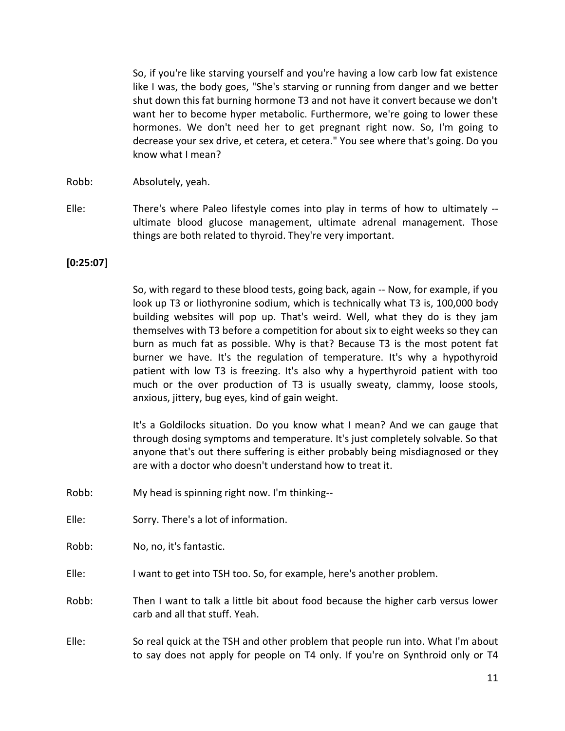So, if you're like starving yourself and you're having a low carb low fat existence like I was, the body goes, "She's starving or running from danger and we better shut down this fat burning hormone T3 and not have it convert because we don't want her to become hyper metabolic. Furthermore, we're going to lower these hormones. We don't need her to get pregnant right now. So, I'm going to decrease your sex drive, et cetera, et cetera." You see where that's going. Do you know what I mean?

- Robb: Absolutely, yeah.
- Elle: There's where Paleo lifestyle comes into play in terms of how to ultimately ultimate blood glucose management, ultimate adrenal management. Those things are both related to thyroid. They're very important.

## **[0:25:07]**

So, with regard to these blood tests, going back, again -- Now, for example, if you look up T3 or liothyronine sodium, which is technically what T3 is, 100,000 body building websites will pop up. That's weird. Well, what they do is they jam themselves with T3 before a competition for about six to eight weeks so they can burn as much fat as possible. Why is that? Because T3 is the most potent fat burner we have. It's the regulation of temperature. It's why a hypothyroid patient with low T3 is freezing. It's also why a hyperthyroid patient with too much or the over production of T3 is usually sweaty, clammy, loose stools, anxious, jittery, bug eyes, kind of gain weight.

It's a Goldilocks situation. Do you know what I mean? And we can gauge that through dosing symptoms and temperature. It's just completely solvable. So that anyone that's out there suffering is either probably being misdiagnosed or they are with a doctor who doesn't understand how to treat it.

- Robb: My head is spinning right now. I'm thinking--
- Elle: Sorry. There's a lot of information.

Robb: No, no, it's fantastic.

Elle: I want to get into TSH too. So, for example, here's another problem.

Robb: Then I want to talk a little bit about food because the higher carb versus lower carb and all that stuff. Yeah.

Elle: So real quick at the TSH and other problem that people run into. What I'm about to say does not apply for people on T4 only. If you're on Synthroid only or T4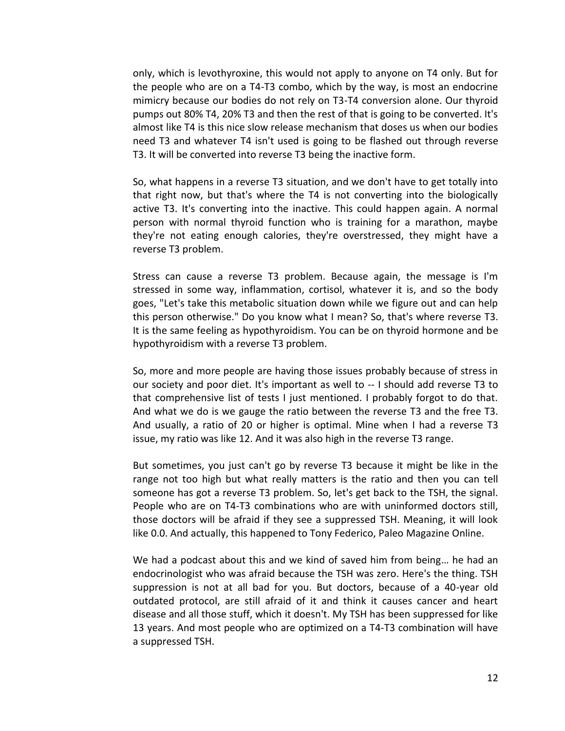only, which is levothyroxine, this would not apply to anyone on T4 only. But for the people who are on a T4-T3 combo, which by the way, is most an endocrine mimicry because our bodies do not rely on T3-T4 conversion alone. Our thyroid pumps out 80% T4, 20% T3 and then the rest of that is going to be converted. It's almost like T4 is this nice slow release mechanism that doses us when our bodies need T3 and whatever T4 isn't used is going to be flashed out through reverse T3. It will be converted into reverse T3 being the inactive form.

So, what happens in a reverse T3 situation, and we don't have to get totally into that right now, but that's where the T4 is not converting into the biologically active T3. It's converting into the inactive. This could happen again. A normal person with normal thyroid function who is training for a marathon, maybe they're not eating enough calories, they're overstressed, they might have a reverse T3 problem.

Stress can cause a reverse T3 problem. Because again, the message is I'm stressed in some way, inflammation, cortisol, whatever it is, and so the body goes, "Let's take this metabolic situation down while we figure out and can help this person otherwise." Do you know what I mean? So, that's where reverse T3. It is the same feeling as hypothyroidism. You can be on thyroid hormone and be hypothyroidism with a reverse T3 problem.

So, more and more people are having those issues probably because of stress in our society and poor diet. It's important as well to -- I should add reverse T3 to that comprehensive list of tests I just mentioned. I probably forgot to do that. And what we do is we gauge the ratio between the reverse T3 and the free T3. And usually, a ratio of 20 or higher is optimal. Mine when I had a reverse T3 issue, my ratio was like 12. And it was also high in the reverse T3 range.

But sometimes, you just can't go by reverse T3 because it might be like in the range not too high but what really matters is the ratio and then you can tell someone has got a reverse T3 problem. So, let's get back to the TSH, the signal. People who are on T4-T3 combinations who are with uninformed doctors still, those doctors will be afraid if they see a suppressed TSH. Meaning, it will look like 0.0. And actually, this happened to Tony Federico, Paleo Magazine Online.

We had a podcast about this and we kind of saved him from being… he had an endocrinologist who was afraid because the TSH was zero. Here's the thing. TSH suppression is not at all bad for you. But doctors, because of a 40-year old outdated protocol, are still afraid of it and think it causes cancer and heart disease and all those stuff, which it doesn't. My TSH has been suppressed for like 13 years. And most people who are optimized on a T4-T3 combination will have a suppressed TSH.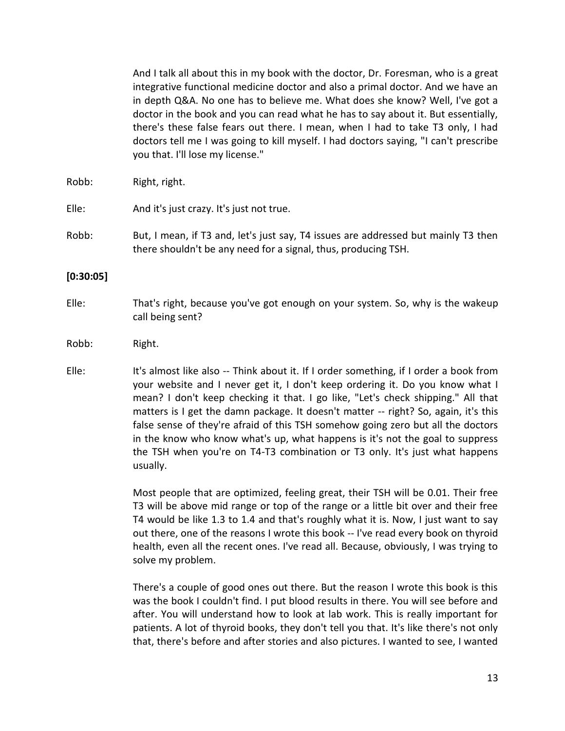And I talk all about this in my book with the doctor, Dr. Foresman, who is a great integrative functional medicine doctor and also a primal doctor. And we have an in depth Q&A. No one has to believe me. What does she know? Well, I've got a doctor in the book and you can read what he has to say about it. But essentially, there's these false fears out there. I mean, when I had to take T3 only, I had doctors tell me I was going to kill myself. I had doctors saying, "I can't prescribe you that. I'll lose my license."

Robb: Right, right.

Elle: And it's just crazy. It's just not true.

Robb: But, I mean, if T3 and, let's just say, T4 issues are addressed but mainly T3 then there shouldn't be any need for a signal, thus, producing TSH.

#### **[0:30:05]**

Elle: That's right, because you've got enough on your system. So, why is the wakeup call being sent?

#### Robb: Right.

Elle: It's almost like also -- Think about it. If I order something, if I order a book from your website and I never get it, I don't keep ordering it. Do you know what I mean? I don't keep checking it that. I go like, "Let's check shipping." All that matters is I get the damn package. It doesn't matter -- right? So, again, it's this false sense of they're afraid of this TSH somehow going zero but all the doctors in the know who know what's up, what happens is it's not the goal to suppress the TSH when you're on T4-T3 combination or T3 only. It's just what happens usually.

> Most people that are optimized, feeling great, their TSH will be 0.01. Their free T3 will be above mid range or top of the range or a little bit over and their free T4 would be like 1.3 to 1.4 and that's roughly what it is. Now, I just want to say out there, one of the reasons I wrote this book -- I've read every book on thyroid health, even all the recent ones. I've read all. Because, obviously, I was trying to solve my problem.

> There's a couple of good ones out there. But the reason I wrote this book is this was the book I couldn't find. I put blood results in there. You will see before and after. You will understand how to look at lab work. This is really important for patients. A lot of thyroid books, they don't tell you that. It's like there's not only that, there's before and after stories and also pictures. I wanted to see, I wanted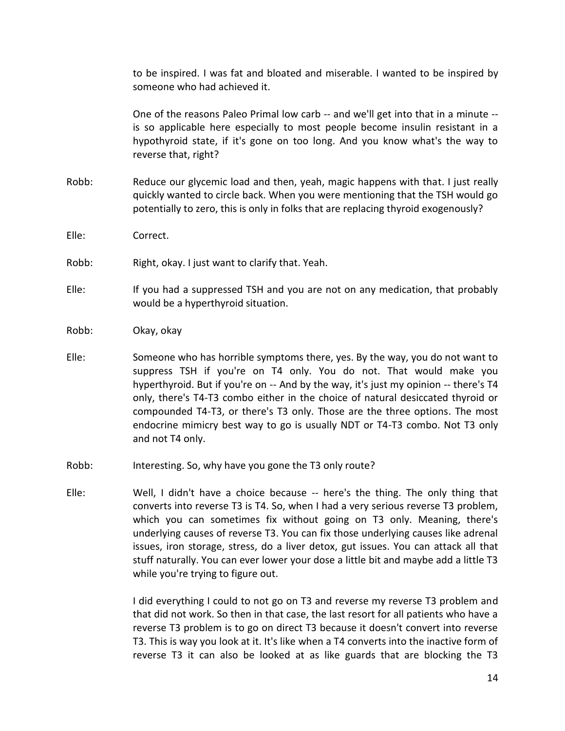to be inspired. I was fat and bloated and miserable. I wanted to be inspired by someone who had achieved it.

One of the reasons Paleo Primal low carb -- and we'll get into that in a minute - is so applicable here especially to most people become insulin resistant in a hypothyroid state, if it's gone on too long. And you know what's the way to reverse that, right?

- Robb: Reduce our glycemic load and then, yeah, magic happens with that. I just really quickly wanted to circle back. When you were mentioning that the TSH would go potentially to zero, this is only in folks that are replacing thyroid exogenously?
- Elle: Correct.
- Robb: Right, okay. I just want to clarify that. Yeah.
- Elle: If you had a suppressed TSH and you are not on any medication, that probably would be a hyperthyroid situation.
- Robb: Okay, okay
- Elle: Someone who has horrible symptoms there, yes. By the way, you do not want to suppress TSH if you're on T4 only. You do not. That would make you hyperthyroid. But if you're on -- And by the way, it's just my opinion -- there's T4 only, there's T4-T3 combo either in the choice of natural desiccated thyroid or compounded T4-T3, or there's T3 only. Those are the three options. The most endocrine mimicry best way to go is usually NDT or T4-T3 combo. Not T3 only and not T4 only.
- Robb: Interesting. So, why have you gone the T3 only route?
- Elle: Well, I didn't have a choice because -- here's the thing. The only thing that converts into reverse T3 is T4. So, when I had a very serious reverse T3 problem, which you can sometimes fix without going on T3 only. Meaning, there's underlying causes of reverse T3. You can fix those underlying causes like adrenal issues, iron storage, stress, do a liver detox, gut issues. You can attack all that stuff naturally. You can ever lower your dose a little bit and maybe add a little T3 while you're trying to figure out.

I did everything I could to not go on T3 and reverse my reverse T3 problem and that did not work. So then in that case, the last resort for all patients who have a reverse T3 problem is to go on direct T3 because it doesn't convert into reverse T3. This is way you look at it. It's like when a T4 converts into the inactive form of reverse T3 it can also be looked at as like guards that are blocking the T3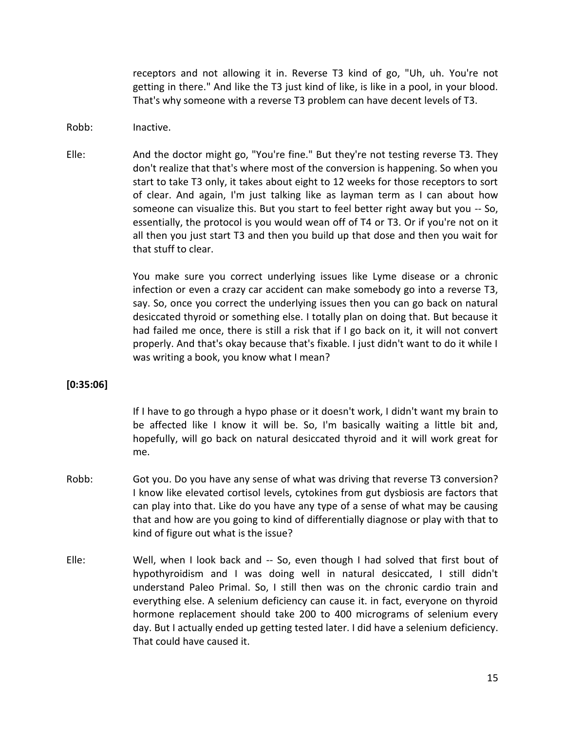receptors and not allowing it in. Reverse T3 kind of go, "Uh, uh. You're not getting in there." And like the T3 just kind of like, is like in a pool, in your blood. That's why someone with a reverse T3 problem can have decent levels of T3.

- Robb: Inactive.
- Elle: And the doctor might go, "You're fine." But they're not testing reverse T3. They don't realize that that's where most of the conversion is happening. So when you start to take T3 only, it takes about eight to 12 weeks for those receptors to sort of clear. And again, I'm just talking like as layman term as I can about how someone can visualize this. But you start to feel better right away but you -- So, essentially, the protocol is you would wean off of T4 or T3. Or if you're not on it all then you just start T3 and then you build up that dose and then you wait for that stuff to clear.

You make sure you correct underlying issues like Lyme disease or a chronic infection or even a crazy car accident can make somebody go into a reverse T3, say. So, once you correct the underlying issues then you can go back on natural desiccated thyroid or something else. I totally plan on doing that. But because it had failed me once, there is still a risk that if I go back on it, it will not convert properly. And that's okay because that's fixable. I just didn't want to do it while I was writing a book, you know what I mean?

## **[0:35:06]**

If I have to go through a hypo phase or it doesn't work, I didn't want my brain to be affected like I know it will be. So, I'm basically waiting a little bit and, hopefully, will go back on natural desiccated thyroid and it will work great for me.

- Robb: Got you. Do you have any sense of what was driving that reverse T3 conversion? I know like elevated cortisol levels, cytokines from gut dysbiosis are factors that can play into that. Like do you have any type of a sense of what may be causing that and how are you going to kind of differentially diagnose or play with that to kind of figure out what is the issue?
- Elle: Well, when I look back and -- So, even though I had solved that first bout of hypothyroidism and I was doing well in natural desiccated, I still didn't understand Paleo Primal. So, I still then was on the chronic cardio train and everything else. A selenium deficiency can cause it. in fact, everyone on thyroid hormone replacement should take 200 to 400 micrograms of selenium every day. But I actually ended up getting tested later. I did have a selenium deficiency. That could have caused it.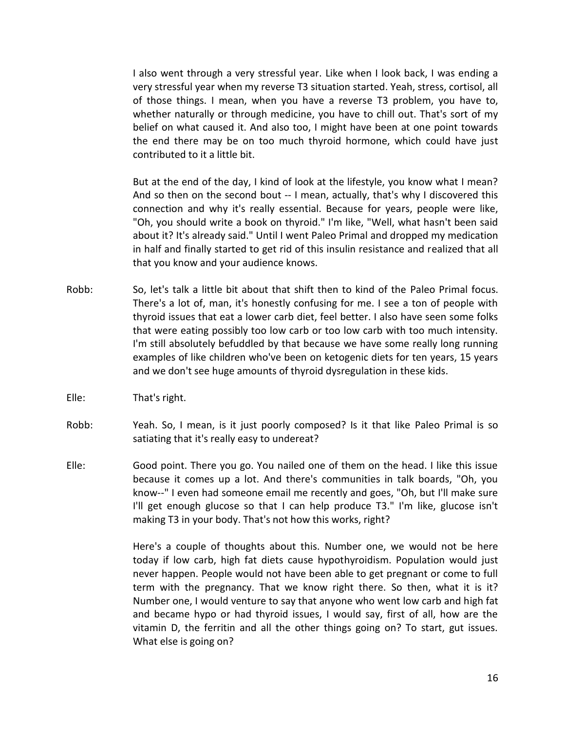I also went through a very stressful year. Like when I look back, I was ending a very stressful year when my reverse T3 situation started. Yeah, stress, cortisol, all of those things. I mean, when you have a reverse T3 problem, you have to, whether naturally or through medicine, you have to chill out. That's sort of my belief on what caused it. And also too, I might have been at one point towards the end there may be on too much thyroid hormone, which could have just contributed to it a little bit.

But at the end of the day, I kind of look at the lifestyle, you know what I mean? And so then on the second bout -- I mean, actually, that's why I discovered this connection and why it's really essential. Because for years, people were like, "Oh, you should write a book on thyroid." I'm like, "Well, what hasn't been said about it? It's already said." Until I went Paleo Primal and dropped my medication in half and finally started to get rid of this insulin resistance and realized that all that you know and your audience knows.

- Robb: So, let's talk a little bit about that shift then to kind of the Paleo Primal focus. There's a lot of, man, it's honestly confusing for me. I see a ton of people with thyroid issues that eat a lower carb diet, feel better. I also have seen some folks that were eating possibly too low carb or too low carb with too much intensity. I'm still absolutely befuddled by that because we have some really long running examples of like children who've been on ketogenic diets for ten years, 15 years and we don't see huge amounts of thyroid dysregulation in these kids.
- Elle: That's right.
- Robb: Yeah. So, I mean, is it just poorly composed? Is it that like Paleo Primal is so satiating that it's really easy to undereat?
- Elle: Good point. There you go. You nailed one of them on the head. I like this issue because it comes up a lot. And there's communities in talk boards, "Oh, you know--" I even had someone email me recently and goes, "Oh, but I'll make sure I'll get enough glucose so that I can help produce T3." I'm like, glucose isn't making T3 in your body. That's not how this works, right?

Here's a couple of thoughts about this. Number one, we would not be here today if low carb, high fat diets cause hypothyroidism. Population would just never happen. People would not have been able to get pregnant or come to full term with the pregnancy. That we know right there. So then, what it is it? Number one, I would venture to say that anyone who went low carb and high fat and became hypo or had thyroid issues, I would say, first of all, how are the vitamin D, the ferritin and all the other things going on? To start, gut issues. What else is going on?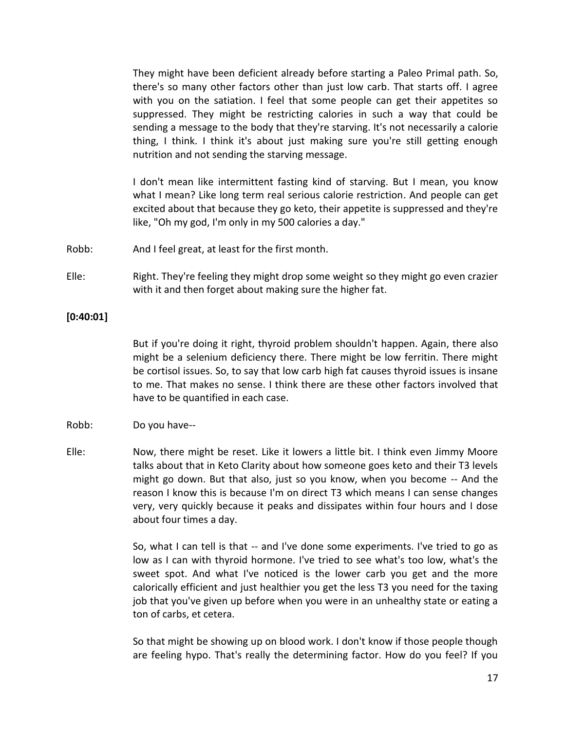They might have been deficient already before starting a Paleo Primal path. So, there's so many other factors other than just low carb. That starts off. I agree with you on the satiation. I feel that some people can get their appetites so suppressed. They might be restricting calories in such a way that could be sending a message to the body that they're starving. It's not necessarily a calorie thing, I think. I think it's about just making sure you're still getting enough nutrition and not sending the starving message.

I don't mean like intermittent fasting kind of starving. But I mean, you know what I mean? Like long term real serious calorie restriction. And people can get excited about that because they go keto, their appetite is suppressed and they're like, "Oh my god, I'm only in my 500 calories a day."

- Robb: And I feel great, at least for the first month.
- Elle: Right. They're feeling they might drop some weight so they might go even crazier with it and then forget about making sure the higher fat.

## **[0:40:01]**

But if you're doing it right, thyroid problem shouldn't happen. Again, there also might be a selenium deficiency there. There might be low ferritin. There might be cortisol issues. So, to say that low carb high fat causes thyroid issues is insane to me. That makes no sense. I think there are these other factors involved that have to be quantified in each case.

#### Robb: Do you have--

Elle: Now, there might be reset. Like it lowers a little bit. I think even Jimmy Moore talks about that in Keto Clarity about how someone goes keto and their T3 levels might go down. But that also, just so you know, when you become -- And the reason I know this is because I'm on direct T3 which means I can sense changes very, very quickly because it peaks and dissipates within four hours and I dose about four times a day.

> So, what I can tell is that -- and I've done some experiments. I've tried to go as low as I can with thyroid hormone. I've tried to see what's too low, what's the sweet spot. And what I've noticed is the lower carb you get and the more calorically efficient and just healthier you get the less T3 you need for the taxing job that you've given up before when you were in an unhealthy state or eating a ton of carbs, et cetera.

> So that might be showing up on blood work. I don't know if those people though are feeling hypo. That's really the determining factor. How do you feel? If you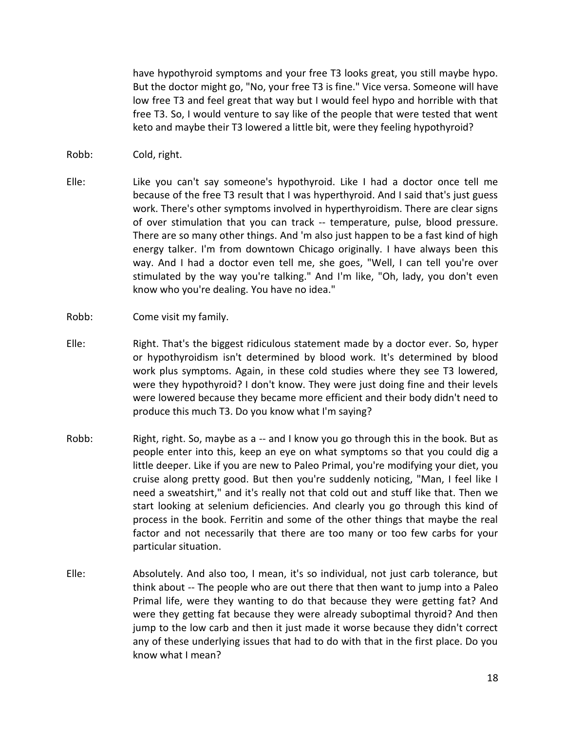have hypothyroid symptoms and your free T3 looks great, you still maybe hypo. But the doctor might go, "No, your free T3 is fine." Vice versa. Someone will have low free T3 and feel great that way but I would feel hypo and horrible with that free T3. So, I would venture to say like of the people that were tested that went keto and maybe their T3 lowered a little bit, were they feeling hypothyroid?

- Robb: Cold, right.
- Elle: Like you can't say someone's hypothyroid. Like I had a doctor once tell me because of the free T3 result that I was hyperthyroid. And I said that's just guess work. There's other symptoms involved in hyperthyroidism. There are clear signs of over stimulation that you can track -- temperature, pulse, blood pressure. There are so many other things. And 'm also just happen to be a fast kind of high energy talker. I'm from downtown Chicago originally. I have always been this way. And I had a doctor even tell me, she goes, "Well, I can tell you're over stimulated by the way you're talking." And I'm like, "Oh, lady, you don't even know who you're dealing. You have no idea."
- Robb: Come visit my family.
- Elle: Right. That's the biggest ridiculous statement made by a doctor ever. So, hyper or hypothyroidism isn't determined by blood work. It's determined by blood work plus symptoms. Again, in these cold studies where they see T3 lowered, were they hypothyroid? I don't know. They were just doing fine and their levels were lowered because they became more efficient and their body didn't need to produce this much T3. Do you know what I'm saying?
- Robb: Right, right. So, maybe as a -- and I know you go through this in the book. But as people enter into this, keep an eye on what symptoms so that you could dig a little deeper. Like if you are new to Paleo Primal, you're modifying your diet, you cruise along pretty good. But then you're suddenly noticing, "Man, I feel like I need a sweatshirt," and it's really not that cold out and stuff like that. Then we start looking at selenium deficiencies. And clearly you go through this kind of process in the book. Ferritin and some of the other things that maybe the real factor and not necessarily that there are too many or too few carbs for your particular situation.
- Elle: Absolutely. And also too, I mean, it's so individual, not just carb tolerance, but think about -- The people who are out there that then want to jump into a Paleo Primal life, were they wanting to do that because they were getting fat? And were they getting fat because they were already suboptimal thyroid? And then jump to the low carb and then it just made it worse because they didn't correct any of these underlying issues that had to do with that in the first place. Do you know what I mean?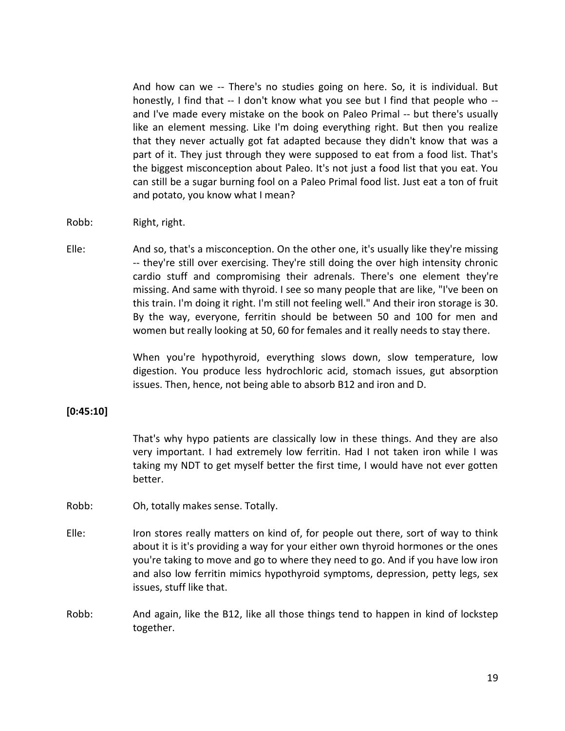And how can we -- There's no studies going on here. So, it is individual. But honestly, I find that -- I don't know what you see but I find that people who - and I've made every mistake on the book on Paleo Primal -- but there's usually like an element messing. Like I'm doing everything right. But then you realize that they never actually got fat adapted because they didn't know that was a part of it. They just through they were supposed to eat from a food list. That's the biggest misconception about Paleo. It's not just a food list that you eat. You can still be a sugar burning fool on a Paleo Primal food list. Just eat a ton of fruit and potato, you know what I mean?

- Robb: Right, right.
- Elle: And so, that's a misconception. On the other one, it's usually like they're missing -- they're still over exercising. They're still doing the over high intensity chronic cardio stuff and compromising their adrenals. There's one element they're missing. And same with thyroid. I see so many people that are like, "I've been on this train. I'm doing it right. I'm still not feeling well." And their iron storage is 30. By the way, everyone, ferritin should be between 50 and 100 for men and women but really looking at 50, 60 for females and it really needs to stay there.

When you're hypothyroid, everything slows down, slow temperature, low digestion. You produce less hydrochloric acid, stomach issues, gut absorption issues. Then, hence, not being able to absorb B12 and iron and D.

## **[0:45:10]**

That's why hypo patients are classically low in these things. And they are also very important. I had extremely low ferritin. Had I not taken iron while I was taking my NDT to get myself better the first time, I would have not ever gotten better.

- Robb: Oh, totally makes sense. Totally.
- Elle: Iron stores really matters on kind of, for people out there, sort of way to think about it is it's providing a way for your either own thyroid hormones or the ones you're taking to move and go to where they need to go. And if you have low iron and also low ferritin mimics hypothyroid symptoms, depression, petty legs, sex issues, stuff like that.
- Robb: And again, like the B12, like all those things tend to happen in kind of lockstep together.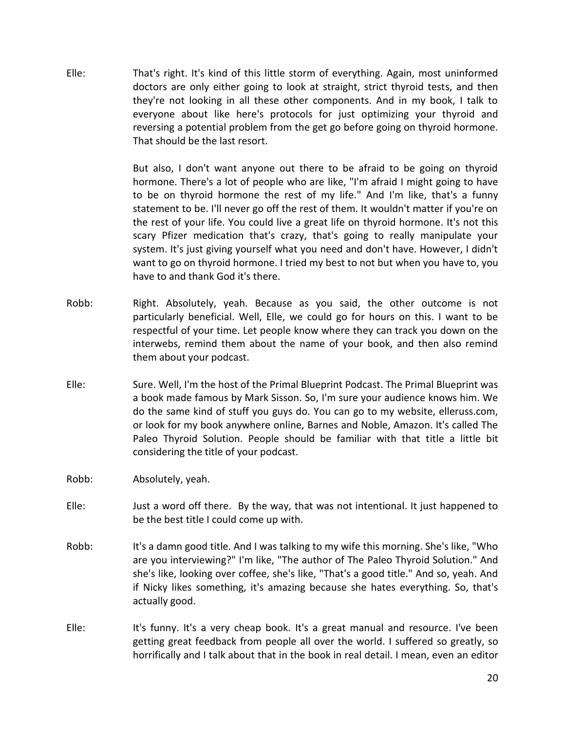Elle: That's right. It's kind of this little storm of everything. Again, most uninformed doctors are only either going to look at straight, strict thyroid tests, and then they're not looking in all these other components. And in my book, I talk to everyone about like here's protocols for just optimizing your thyroid and reversing a potential problem from the get go before going on thyroid hormone. That should be the last resort.

> But also, I don't want anyone out there to be afraid to be going on thyroid hormone. There's a lot of people who are like, "I'm afraid I might going to have to be on thyroid hormone the rest of my life." And I'm like, that's a funny statement to be. I'll never go off the rest of them. It wouldn't matter if you're on the rest of your life. You could live a great life on thyroid hormone. It's not this scary Pfizer medication that's crazy, that's going to really manipulate your system. It's just giving yourself what you need and don't have. However, I didn't want to go on thyroid hormone. I tried my best to not but when you have to, you have to and thank God it's there.

- Robb: Right. Absolutely, yeah. Because as you said, the other outcome is not particularly beneficial. Well, Elle, we could go for hours on this. I want to be respectful of your time. Let people know where they can track you down on the interwebs, remind them about the name of your book, and then also remind them about your podcast.
- Elle: Sure. Well, I'm the host of the Primal Blueprint Podcast. The Primal Blueprint was a book made famous by Mark Sisson. So, I'm sure your audience knows him. We do the same kind of stuff you guys do. You can go to my website, elleruss.com, or look for my book anywhere online, Barnes and Noble, Amazon. It's called The Paleo Thyroid Solution. People should be familiar with that title a little bit considering the title of your podcast.
- Robb: Absolutely, yeah.
- Elle: Just a word off there. By the way, that was not intentional. It just happened to be the best title I could come up with.
- Robb: It's a damn good title. And I was talking to my wife this morning. She's like, "Who are you interviewing?" I'm like, "The author of The Paleo Thyroid Solution." And she's like, looking over coffee, she's like, "That's a good title." And so, yeah. And if Nicky likes something, it's amazing because she hates everything. So, that's actually good.
- Elle: It's funny. It's a very cheap book. It's a great manual and resource. I've been getting great feedback from people all over the world. I suffered so greatly, so horrifically and I talk about that in the book in real detail. I mean, even an editor